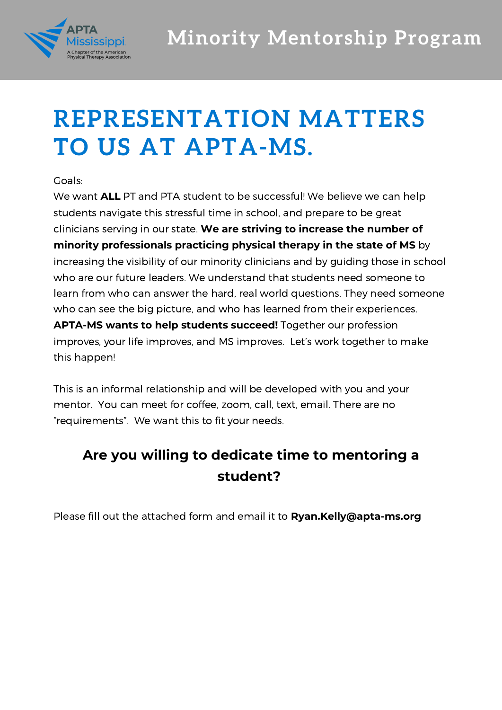

## **REPRESENTATION MATTERS TO US AT APTA-MS.**

## Goals:

We want **ALL** PT and PTA student to be successful! We believe we can help students navigate this stressful time in school, and prepare to be great clinicians serving in our state. **We are striving to increase the number of minority professionals practicing physical therapy in the state of MS** by increasing the visibility of our minority clinicians and by guiding those in school who are our future leaders. We understand that students need someone to learn from who can answer the hard, real world questions. They need someone who can see the big picture, and who has learned from their experiences. **APTA-MS wants to help students succeed!** Together our profession improves, your life improves, and MS improves. Let's work together to make this happen!

This is an informal relationship and will be developed with you and your mentor. You can meet for coffee, zoom, call, text, email. There are no "requirements". We want this to fit your needs.

## **Are you willing to dedicate time to mentoring a student?**

Please fill out the attached form and email it to **Ryan.Kelly@apta-ms.org**